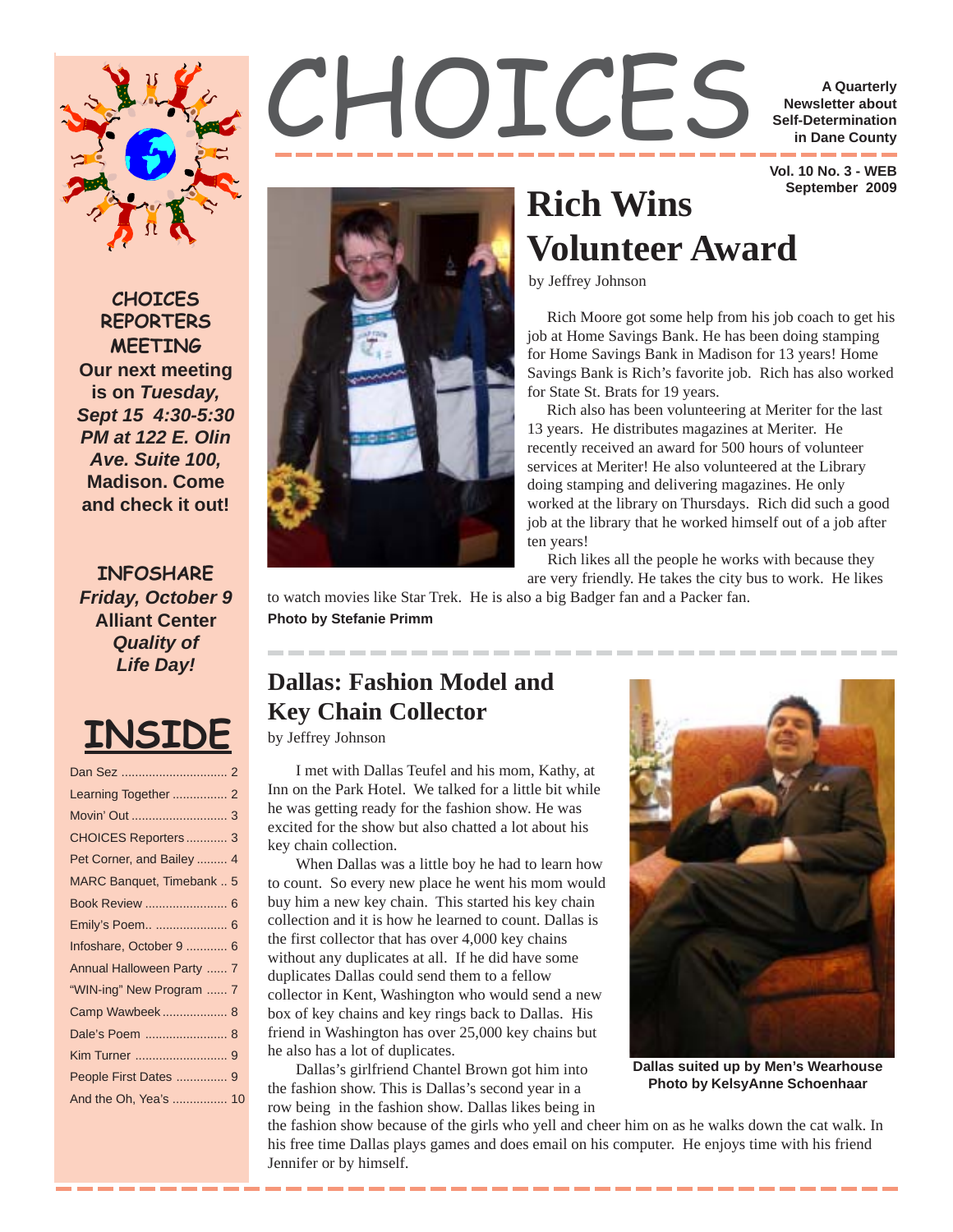

**CHOICES REPORTERS MEETING Our next meeting is on** *Tuesday, Sept 15 4:30-5:30 PM at 122 E. Olin Ave. Suite 100,* **Madison. Come and check it out!**

**INFOSHARE** *Friday, October 9* **Alliant Center** *Quality of Life Day!*

# **INSIDE**



**Newsletter about Self-Determination in Dane County**

 **Vol. 10 No. 3 - WEB September 2009**

# by Jeffrey Johnson **Rich Wins Volunteer Award**

 Rich Moore got some help from his job coach to get his job at Home Savings Bank. He has been doing stamping for Home Savings Bank in Madison for 13 years! Home Savings Bank is Rich's favorite job. Rich has also worked for State St. Brats for 19 years.

 Rich also has been volunteering at Meriter for the last 13 years. He distributes magazines at Meriter. He recently received an award for 500 hours of volunteer services at Meriter! He also volunteered at the Library doing stamping and delivering magazines. He only worked at the library on Thursdays. Rich did such a good job at the library that he worked himself out of a job after ten years!

Rich likes all the people he works with because they

are very friendly. He takes the city bus to work. He likes

to watch movies like Star Trek. He is also a big Badger fan and a Packer fan. **Photo by Stefanie Primm**

### **Dallas: Fashion Model and Key Chain Collector**

by Jeffrey Johnson

I met with Dallas Teufel and his mom, Kathy, at Inn on the Park Hotel. We talked for a little bit while he was getting ready for the fashion show. He was excited for the show but also chatted a lot about his key chain collection.

When Dallas was a little boy he had to learn how to count. So every new place he went his mom would buy him a new key chain. This started his key chain collection and it is how he learned to count. Dallas is the first collector that has over 4,000 key chains without any duplicates at all. If he did have some duplicates Dallas could send them to a fellow collector in Kent, Washington who would send a new box of key chains and key rings back to Dallas. His friend in Washington has over 25,000 key chains but he also has a lot of duplicates.

Dallas's girlfriend Chantel Brown got him into the fashion show. This is Dallas's second year in a row being in the fashion show. Dallas likes being in



**Dallas suited up by Men's Wearhouse Photo by KelsyAnne Schoenhaar**

the fashion show because of the girls who yell and cheer him on as he walks down the cat walk. In his free time Dallas plays games and does email on his computer. He enjoys time with his friend Jennifer or by himself.

---------------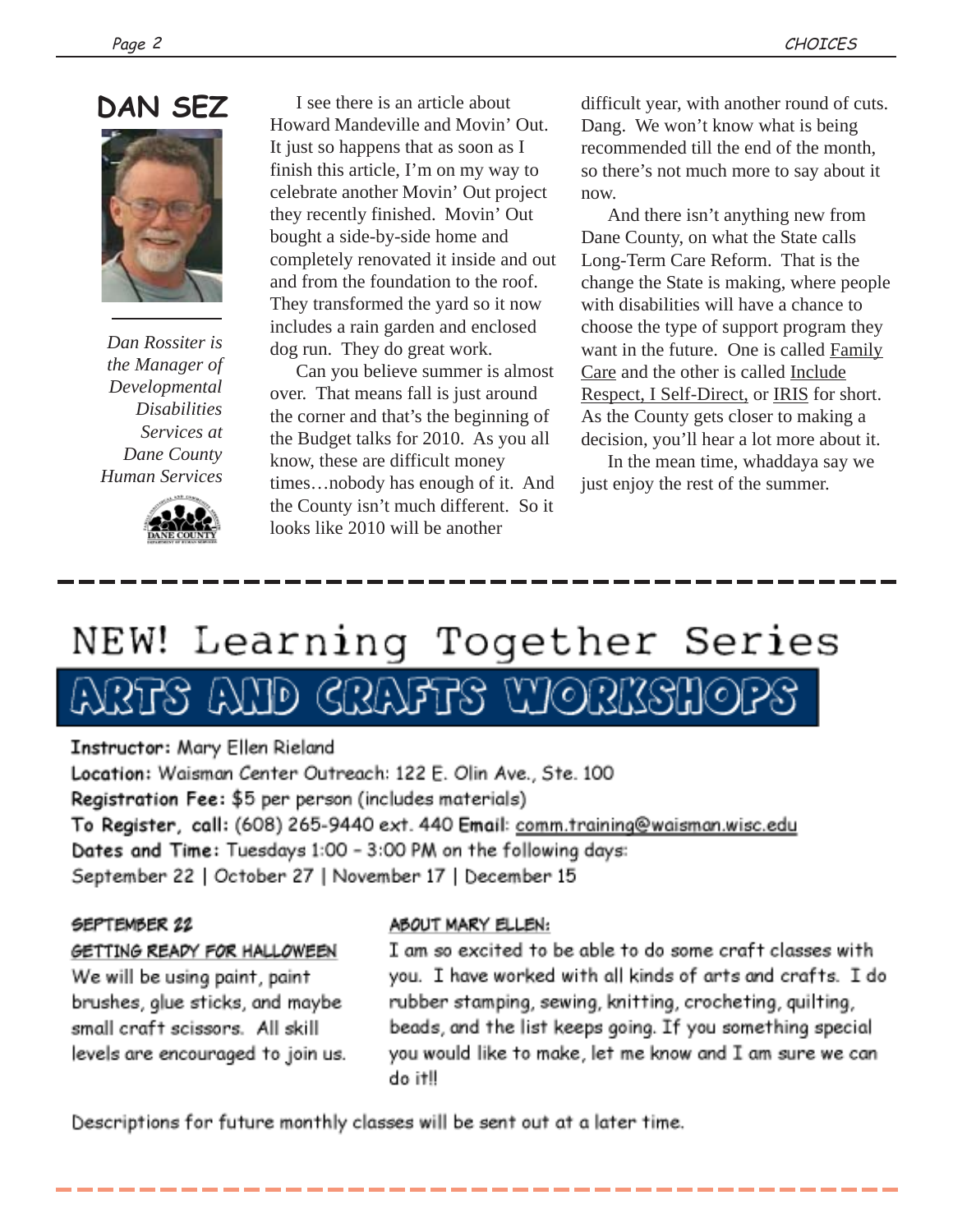

*Dan Rossiter is the Manager of Developmental Disabilities Services at Dane County Human Services*



I see there is an article about Howard Mandeville and Movin' Out. It just so happens that as soon as I finish this article, I'm on my way to celebrate another Movin' Out project they recently finished. Movin' Out bought a side-by-side home and completely renovated it inside and out and from the foundation to the roof. They transformed the yard so it now includes a rain garden and enclosed dog run. They do great work.

 Can you believe summer is almost over. That means fall is just around the corner and that's the beginning of the Budget talks for 2010. As you all know, these are difficult money times…nobody has enough of it. And the County isn't much different. So it looks like 2010 will be another

difficult year, with another round of cuts. Dang. We won't know what is being recommended till the end of the month, so there's not much more to say about it now.

 And there isn't anything new from Dane County, on what the State calls Long-Term Care Reform. That is the change the State is making, where people with disabilities will have a chance to choose the type of support program they want in the future. One is called Family Care and the other is called Include Respect, I Self-Direct, or IRIS for short. As the County gets closer to making a decision, you'll hear a lot more about it.

 In the mean time, whaddaya say we just enjoy the rest of the summer.

# NEW! Learning Together Series

# TD CRAFFS WORKSHOP

Instructor: Mary Ellen Rieland

Location: Waisman Center Outreach: 122 E. Olin Ave., Ste. 100 Registration Fee: \$5 per person (includes materials) To Register, call: (608) 265-9440 ext. 440 Email: comm.training@waisman.wisc.edu Dates and Time: Tuesdays 1:00 - 3:00 PM on the following days: September 22 | October 27 | November 17 | December 15

#### SEPTEMBER 22

### GETTING READY FOR HALLOWEEN

We will be using paint, paint brushes, glue sticks, and maybe small craft scissors. All skill levels are encouraged to join us.

#### ABOUT MARY ELLEN:

I am so excited to be able to do some craft classes with you. I have worked with all kinds of arts and crafts. I do rubber stamping, sewing, knitting, crocheting, quilting, beads, and the list keeps going. If you something special you would like to make, let me know and I am sure we can do it!!

Descriptions for future monthly classes will be sent out at a later time.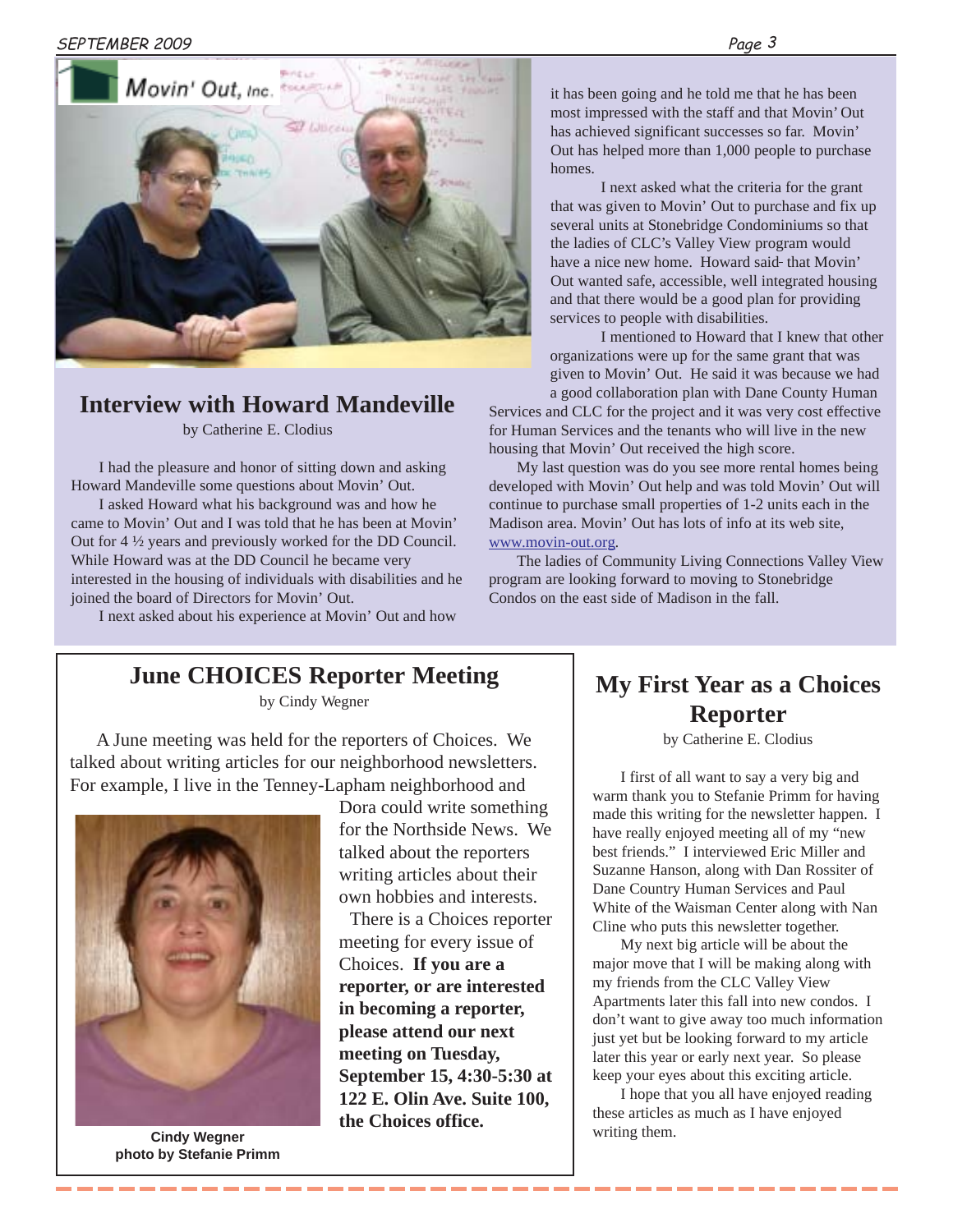

### **Interview with Howard Mandeville**

by Catherine E. Clodius

I had the pleasure and honor of sitting down and asking Howard Mandeville some questions about Movin' Out.

I asked Howard what his background was and how he came to Movin' Out and I was told that he has been at Movin' Out for 4 ½ years and previously worked for the DD Council. While Howard was at the DD Council he became very interested in the housing of individuals with disabilities and he joined the board of Directors for Movin' Out.

I next asked about his experience at Movin' Out and how

it has been going and he told me that he has been most impressed with the staff and that Movin' Out has achieved significant successes so far. Movin' Out has helped more than 1,000 people to purchase homes.

I next asked what the criteria for the grant that was given to Movin' Out to purchase and fix up several units at Stonebridge Condominiums so that the ladies of CLC's Valley View program would have a nice new home. Howard said-that Movin' Out wanted safe, accessible, well integrated housing and that there would be a good plan for providing services to people with disabilities.

I mentioned to Howard that I knew that other organizations were up for the same grant that was given to Movin' Out. He said it was because we had a good collaboration plan with Dane County Human

Services and CLC for the project and it was very cost effective for Human Services and the tenants who will live in the new housing that Movin' Out received the high score.

My last question was do you see more rental homes being developed with Movin' Out help and was told Movin' Out will continue to purchase small properties of 1-2 units each in the Madison area. Movin' Out has lots of info at its web site, www.movin-out.org.

The ladies of Community Living Connections Valley View program are looking forward to moving to Stonebridge Condos on the east side of Madison in the fall.

### **June CHOICES Reporter Meeting**

by Cindy Wegner

A June meeting was held for the reporters of Choices. We talked about writing articles for our neighborhood newsletters. For example, I live in the Tenney-Lapham neighborhood and



**photo by Stefanie Primm**

Dora could write something for the Northside News. We talked about the reporters writing articles about their own hobbies and interests.

There is a Choices reporter meeting for every issue of Choices. **If you are a reporter, or are interested in becoming a reporter, please attend our next meeting on Tuesday, September 15, 4:30-5:30 at 122 E. Olin Ave. Suite 100, the Choices office. Cindy Wegner Cincerns Cindy Wegner Cindy Wegner Cindy Wegner Cindy Wegner Cindy Wegner Cindy Wegner Cindy Wegner Cindy Wegner Cindy Wegner Cindy Wegner Cindy Wegner Cindy Wegner Cindy Wegner**

### **My First Year as a Choices Reporter**

by Catherine E. Clodius

I first of all want to say a very big and warm thank you to Stefanie Primm for having made this writing for the newsletter happen. I have really enjoyed meeting all of my "new best friends." I interviewed Eric Miller and Suzanne Hanson, along with Dan Rossiter of Dane Country Human Services and Paul White of the Waisman Center along with Nan Cline who puts this newsletter together.

My next big article will be about the major move that I will be making along with my friends from the CLC Valley View Apartments later this fall into new condos. I don't want to give away too much information just yet but be looking forward to my article later this year or early next year. So please keep your eyes about this exciting article.

I hope that you all have enjoyed reading these articles as much as I have enjoyed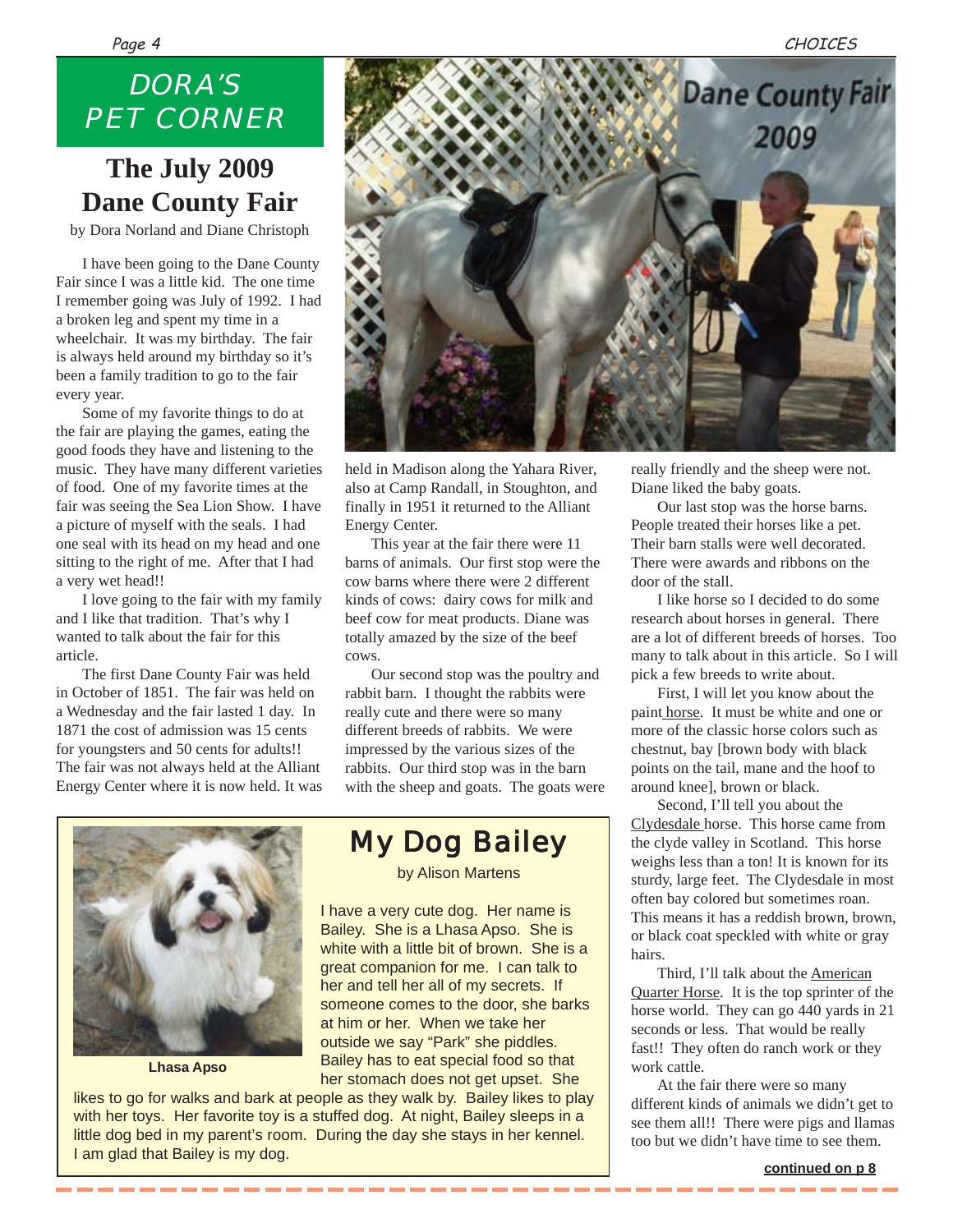## *DORA'S PET CORNER*

## **The July 2009 Dane County Fair**

by Dora Norland and Diane Christoph

I have been going to the Dane County Fair since I was a little kid. The one time I remember going was July of 1992. I had a broken leg and spent my time in a wheelchair. It was my birthday. The fair is always held around my birthday so it's been a family tradition to go to the fair every year.

Some of my favorite things to do at the fair are playing the games, eating the good foods they have and listening to the music. They have many different varieties of food. One of my favorite times at the fair was seeing the Sea Lion Show. I have a picture of myself with the seals. I had one seal with its head on my head and one sitting to the right of me. After that I had a very wet head!!

I love going to the fair with my family and I like that tradition. That's why I wanted to talk about the fair for this article.

The first Dane County Fair was held in October of 1851. The fair was held on a Wednesday and the fair lasted 1 day. In 1871 the cost of admission was 15 cents for youngsters and 50 cents for adults!! The fair was not always held at the Alliant Energy Center where it is now held. It was



held in Madison along the Yahara River, also at Camp Randall, in Stoughton, and finally in 1951 it returned to the Alliant Energy Center.

This year at the fair there were 11 barns of animals. Our first stop were the cow barns where there were 2 different kinds of cows: dairy cows for milk and beef cow for meat products. Diane was totally amazed by the size of the beef cows.

Our second stop was the poultry and rabbit barn. I thought the rabbits were really cute and there were so many different breeds of rabbits. We were impressed by the various sizes of the rabbits. Our third stop was in the barn with the sheep and goats. The goats were



**Lhasa Apso**

*My Dog Bailey*

by Alison Martens

I have a very cute dog. Her name is Bailey. She is a Lhasa Apso. She is white with a little bit of brown. She is a great companion for me. I can talk to her and tell her all of my secrets. If someone comes to the door, she barks at him or her. When we take her outside we say "Park" she piddles. Bailey has to eat special food so that her stomach does not get upset. She

likes to go for walks and bark at people as they walk by. Bailey likes to play with her toys. Her favorite toy is a stuffed dog. At night, Bailey sleeps in a little dog bed in my parent's room. During the day she stays in her kennel. I am glad that Bailey is my dog.

really friendly and the sheep were not. Diane liked the baby goats.

Our last stop was the horse barns. People treated their horses like a pet. Their barn stalls were well decorated. There were awards and ribbons on the door of the stall.

I like horse so I decided to do some research about horses in general. There are a lot of different breeds of horses. Too many to talk about in this article. So I will pick a few breeds to write about.

First, I will let you know about the paint horse. It must be white and one or more of the classic horse colors such as chestnut, bay [brown body with black points on the tail, mane and the hoof to around knee], brown or black.

Second, I'll tell you about the Clydesdale horse. This horse came from the clyde valley in Scotland. This horse weighs less than a ton! It is known for its sturdy, large feet. The Clydesdale in most often bay colored but sometimes roan. This means it has a reddish brown, brown, or black coat speckled with white or gray hairs.

Third, I'll talk about the **American** Quarter Horse. It is the top sprinter of the horse world. They can go 440 yards in 21 seconds or less. That would be really fast!! They often do ranch work or they work cattle.

At the fair there were so many different kinds of animals we didn't get to see them all!! There were pigs and llamas too but we didn't have time to see them.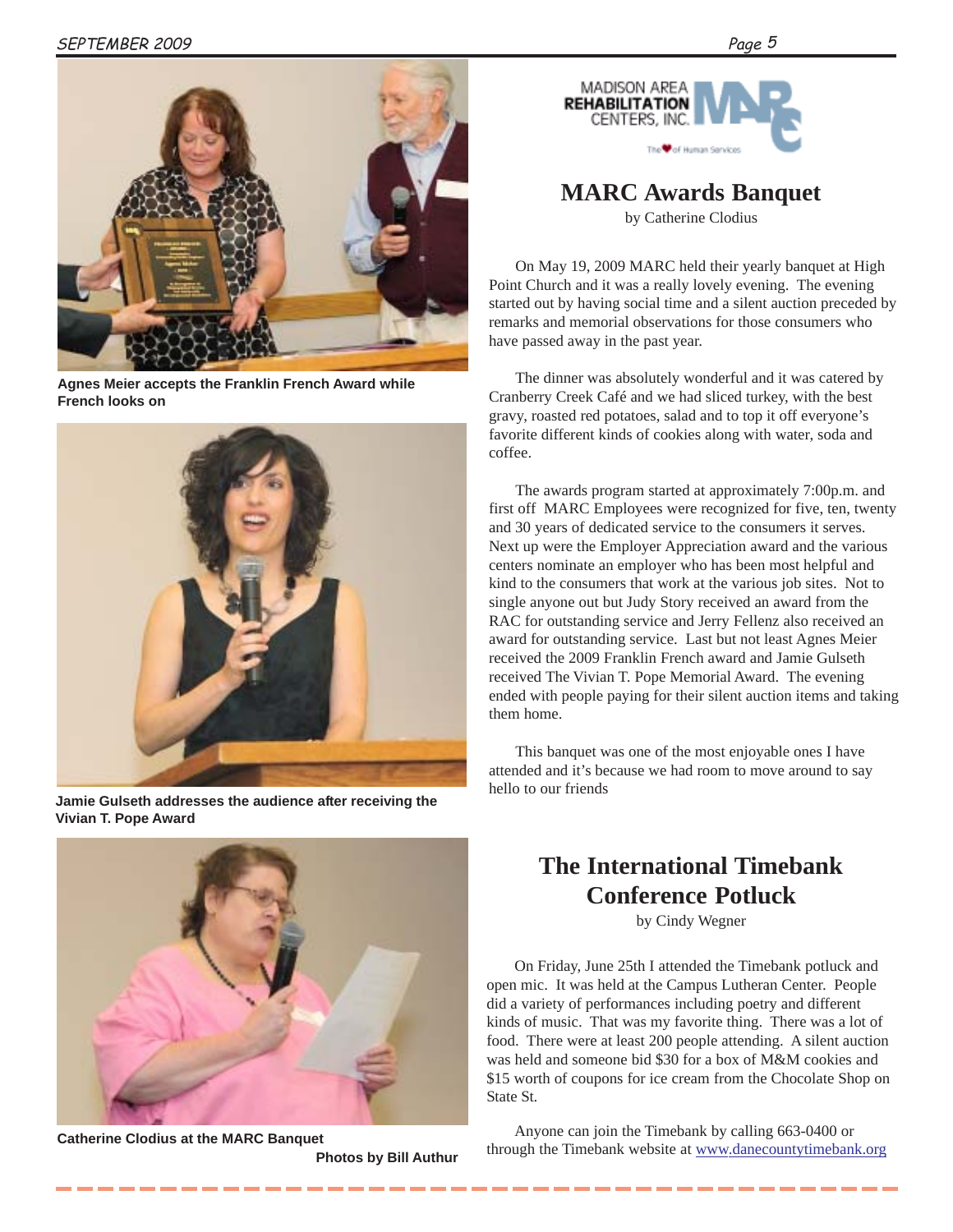

**Agnes Meier accepts the Franklin French Award while French looks on**



**Jamie Gulseth addresses the audience after receiving the Vivian T. Pope Award**



**Catherine Clodius at the MARC Banquet**

**Photos by Bill Authur**



### **MARC Awards Banquet**

by Catherine Clodius

On May 19, 2009 MARC held their yearly banquet at High Point Church and it was a really lovely evening. The evening started out by having social time and a silent auction preceded by remarks and memorial observations for those consumers who have passed away in the past year.

The dinner was absolutely wonderful and it was catered by Cranberry Creek Café and we had sliced turkey, with the best gravy, roasted red potatoes, salad and to top it off everyone's favorite different kinds of cookies along with water, soda and coffee.

The awards program started at approximately 7:00p.m. and first off MARC Employees were recognized for five, ten, twenty and 30 years of dedicated service to the consumers it serves. Next up were the Employer Appreciation award and the various centers nominate an employer who has been most helpful and kind to the consumers that work at the various job sites. Not to single anyone out but Judy Story received an award from the RAC for outstanding service and Jerry Fellenz also received an award for outstanding service. Last but not least Agnes Meier received the 2009 Franklin French award and Jamie Gulseth received The Vivian T. Pope Memorial Award. The evening ended with people paying for their silent auction items and taking them home.

This banquet was one of the most enjoyable ones I have attended and it's because we had room to move around to say hello to our friends

### **The International Timebank Conference Potluck**

by Cindy Wegner

On Friday, June 25th I attended the Timebank potluck and open mic. It was held at the Campus Lutheran Center. People did a variety of performances including poetry and different kinds of music. That was my favorite thing. There was a lot of food. There were at least 200 people attending. A silent auction was held and someone bid \$30 for a box of M&M cookies and \$15 worth of coupons for ice cream from the Chocolate Shop on State St.

Anyone can join the Timebank by calling 663-0400 or through the Timebank website at www.danecountytimebank.org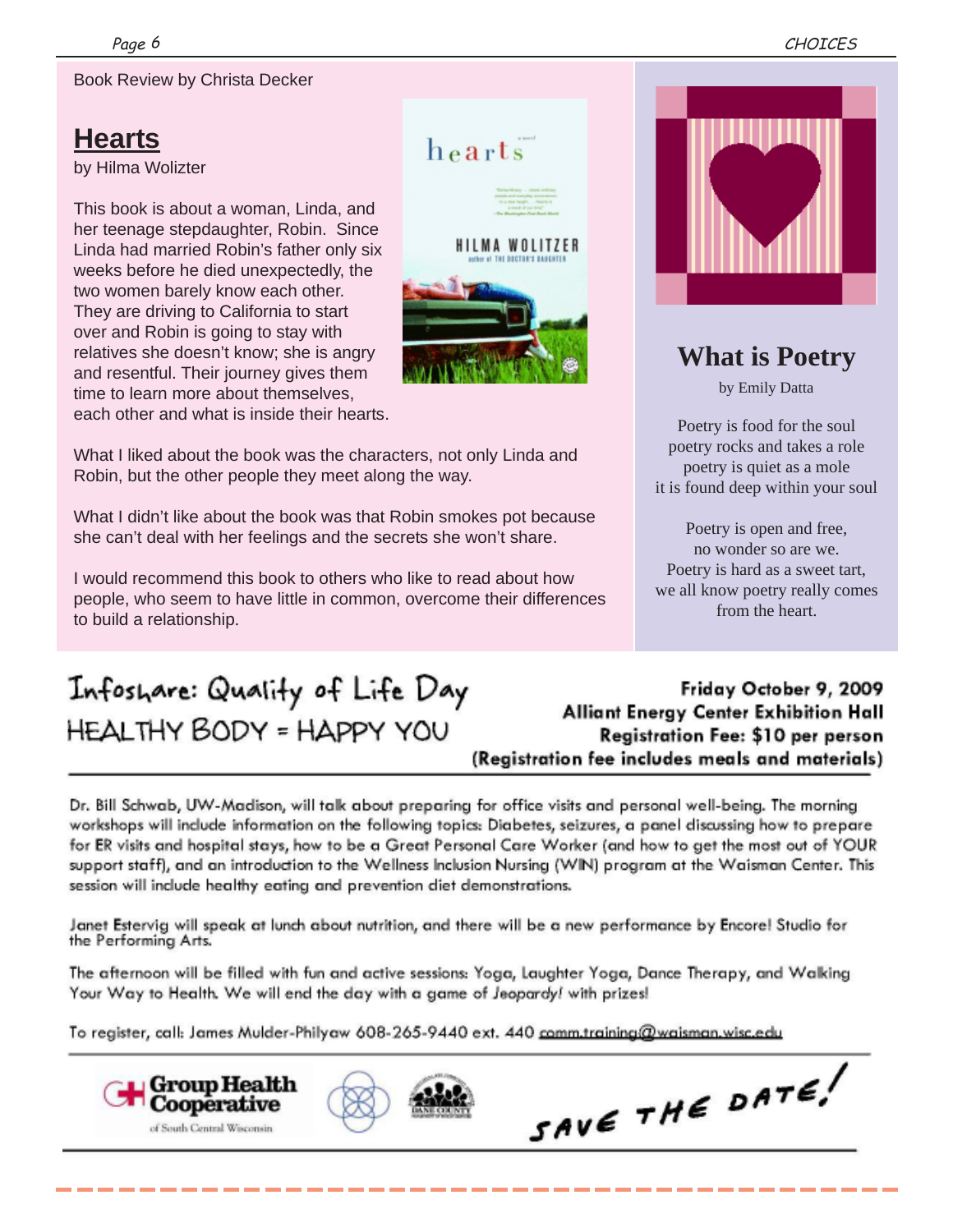Book Review by Christa Decker

## **Hearts**

by Hilma Wolizter

This book is about a woman, Linda, and her teenage stepdaughter, Robin. Since Linda had married Robin's father only six weeks before he died unexpectedly, the two women barely know each other. They are driving to California to start over and Robin is going to stay with relatives she doesn't know; she is angry and resentful. Their journey gives them time to learn more about themselves, each other and what is inside their hearts.



 $heats$ 

What I liked about the book was the characters, not only Linda and Robin, but the other people they meet along the way.

What I didn't like about the book was that Robin smokes pot because she can't deal with her feelings and the secrets she won't share.

I would recommend this book to others who like to read about how people, who seem to have little in common, overcome their differences to build a relationship.



### **What is Poetry**

by Emily Datta

Poetry is food for the soul poetry rocks and takes a role poetry is quiet as a mole it is found deep within your soul

Poetry is open and free, no wonder so are we. Poetry is hard as a sweet tart, we all know poetry really comes from the heart.

# Infoshare: Quality of Life Day **HEALTHY BODY = HAPPY YOU**

Friday October 9, 2009 **Alliant Energy Center Exhibition Hall** Registration Fee: \$10 per person (Registration fee includes meals and materials)

Dr. Bill Schwab, UW-Madison, will talk about preparing for office visits and personal well-being. The morning workshops will include information on the following topics: Diabetes, seizures, a panel discussing how to prepare for ER visits and hospital stays, how to be a Great Personal Care Worker (and how to get the most out of YOUR support staff), and an introduction to the Wellness Inclusion Nursing (WIN) program at the Waisman Center. This session will include healthy eating and prevention diet demonstrations.

Janet Estervig will speak at lunch about nutrition, and there will be a new performance by Encorel Studio for the Performing Arts.

The afternoon will be filled with fun and active sessions: Yoga, Laughter Yoga, Dance Therapy, and Walking Your Way to Health. We will end the day with a game of Jeopardy! with prizes!

To register, call: James Mulder-Philyaw 608-265-9440 ext. 440 comm.training@waisman.wisc.edu

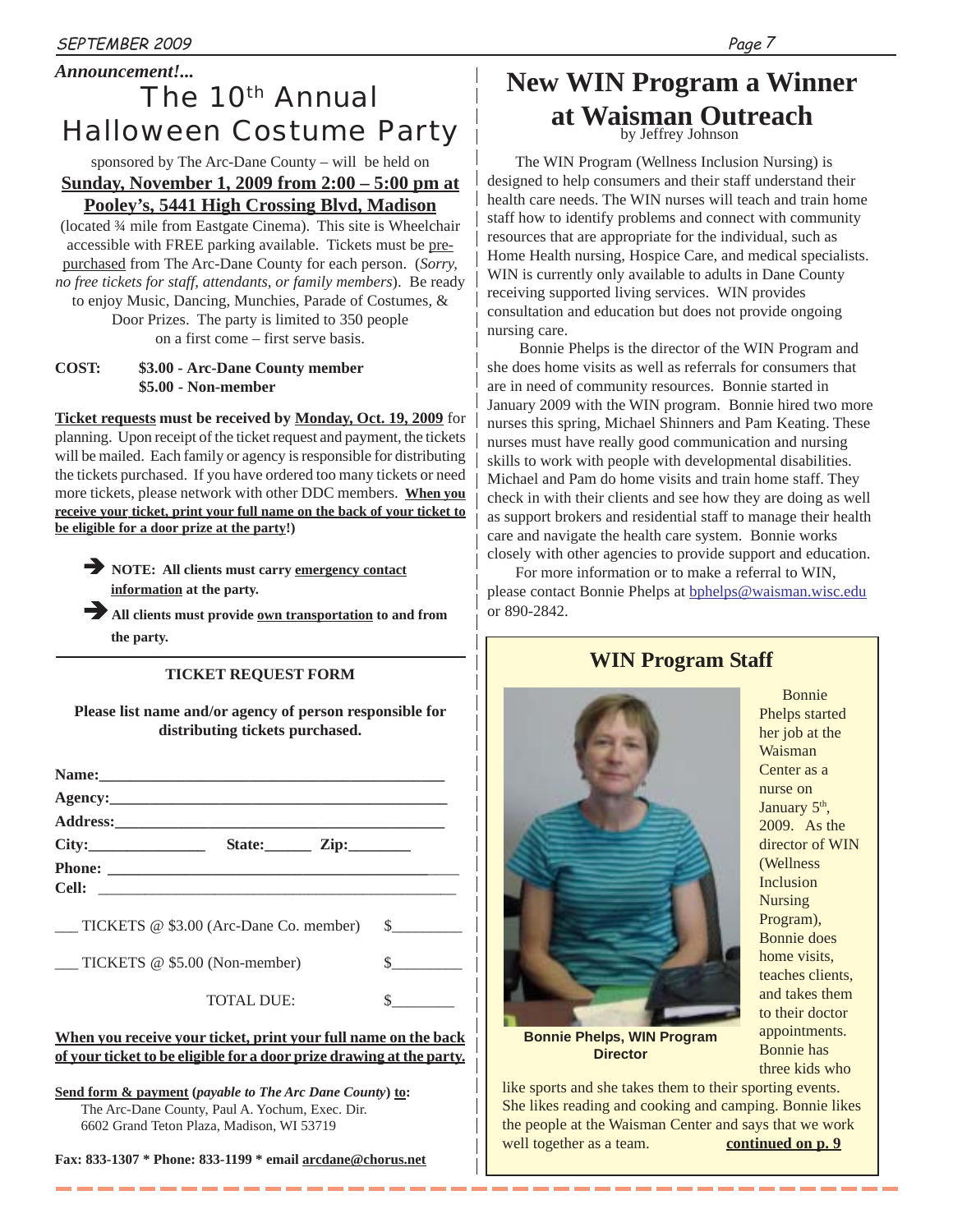### *Announcement!... The 10th Annual Halloween Costume Party*

sponsored by The Arc-Dane County – will be held on **Sunday, November 1, 2009 from 2:00 – 5:00 pm at Pooley's, 5441 High Crossing Blvd, Madison**

(located ¾ mile from Eastgate Cinema). This site is Wheelchair accessible with FREE parking available. Tickets must be prepurchased from The Arc-Dane County for each person. (*Sorry, no free tickets for staff, attendants, or family members*). Be ready to enjoy Music, Dancing, Munchies, Parade of Costumes, & Door Prizes. The party is limited to 350 people

on a first come – first serve basis.

#### **COST: \$3.00 - Arc-Dane County member \$5.00 - Non-member**

**Ticket requests must be received by Monday, Oct. 19, 2009** for planning. Upon receipt of the ticket request and payment, the tickets will be mailed. Each family or agency is responsible for distributing the tickets purchased. If you have ordered too many tickets or need more tickets, please network with other DDC members. **When you receive your ticket, print your full name on the back of your ticket to be eligible for a door prize at the party!)**

**NOTE:** All clients must carry emergency contact **information at the party.**

All clients must provide <u>own transportation</u> to and from **the party.**

#### **TICKET REQUEST FORM**

**Please list name and/or agency of person responsible for distributing tickets purchased.**

| State: $\frac{\text{Zip:}}{\text{Lip:}}$       |               |
|------------------------------------------------|---------------|
|                                                |               |
|                                                |               |
| TICKETS $@$ \$3.00 (Arc-Dane Co. member) $$\$$ |               |
| TICKETS @ \$5.00 (Non-member)                  |               |
| <b>TOTAL DUE:</b>                              | $\sim$ $\sim$ |
|                                                |               |

#### **When you receive your ticket, print your full name on the back of your ticket to be eligible for a door prize drawing at the party.**

**Send form & payment (***payable to The Arc Dane County***) to:** The Arc-Dane County, Paul A. Yochum, Exec. Dir. 6602 Grand Teton Plaza, Madison, WI 53719

**Fax: 833-1307 \* Phone: 833-1199 \* email arcdane@chorus.net**

## **New WIN Program a Winner at Waisman Outreach**

by Jeffrey Johnson

The WIN Program (Wellness Inclusion Nursing) is designed to help consumers and their staff understand their health care needs. The WIN nurses will teach and train home staff how to identify problems and connect with community resources that are appropriate for the individual, such as Home Health nursing, Hospice Care, and medical specialists. WIN is currently only available to adults in Dane County receiving supported living services. WIN provides consultation and education but does not provide ongoing nursing care.

 Bonnie Phelps is the director of the WIN Program and she does home visits as well as referrals for consumers that are in need of community resources. Bonnie started in January 2009 with the WIN program. Bonnie hired two more nurses this spring, Michael Shinners and Pam Keating. These nurses must have really good communication and nursing skills to work with people with developmental disabilities. Michael and Pam do home visits and train home staff. They check in with their clients and see how they are doing as well as support brokers and residential staff to manage their health care and navigate the health care system. Bonnie works closely with other agencies to provide support and education.

For more information or to make a referral to WIN, please contact Bonnie Phelps at bphelps@waisman.wisc.edu or 890-2842.

**WIN Program Staff**



her job at the Waisman Center as a nurse on January 5<sup>th</sup>, 2009. As the director of WIN (Wellness Inclusion Nursing Program), Bonnie does home visits, teaches clients, and takes them to their doctor appointments. Bonnie has three kids who

Bonnie Phelps started

**Bonnie Phelps, WIN Program Director**

like sports and she takes them to their sporting events. She likes reading and cooking and camping. Bonnie likes the people at the Waisman Center and says that we work well together as a team. **continued on p. 9**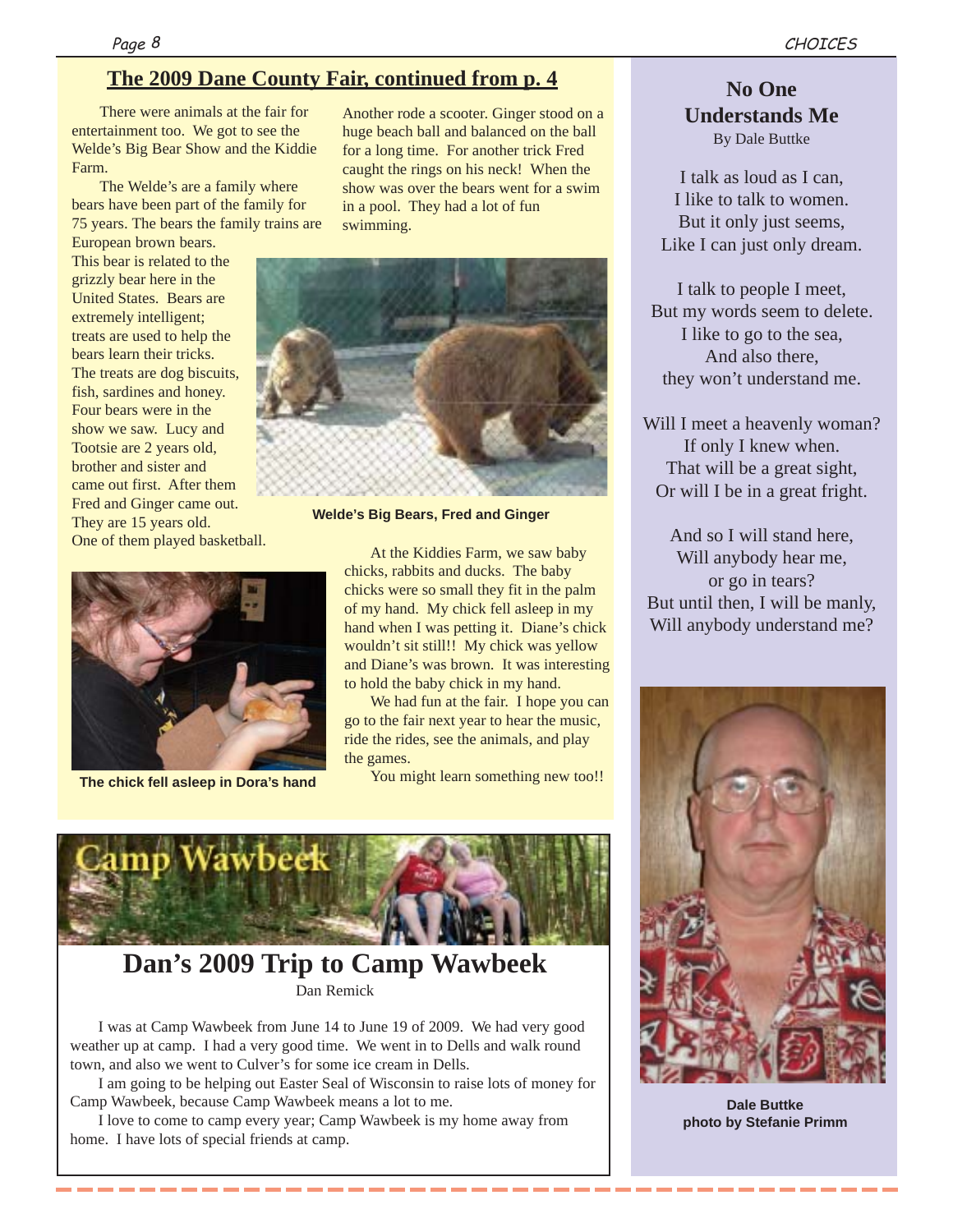### **The 2009 Dane County Fair, continued from p. 4**

There were animals at the fair for entertainment too. We got to see the Welde's Big Bear Show and the Kiddie Farm.

The Welde's are a family where bears have been part of the family for 75 years. The bears the family trains are

European brown bears. This bear is related to the grizzly bear here in the United States. Bears are extremely intelligent; treats are used to help the bears learn their tricks. The treats are dog biscuits, fish, sardines and honey. Four bears were in the show we saw. Lucy and Tootsie are 2 years old, brother and sister and came out first. After them Fred and Ginger came out. They are 15 years old. One of them played basketball.



Another rode a scooter. Ginger stood on a huge beach ball and balanced on the ball for a long time. For another trick Fred caught the rings on his neck! When the show was over the bears went for a swim in a pool. They had a lot of fun swimming.



**Welde's Big Bears, Fred and Ginger**

At the Kiddies Farm, we saw baby chicks, rabbits and ducks. The baby chicks were so small they fit in the palm of my hand. My chick fell asleep in my hand when I was petting it. Diane's chick wouldn't sit still!! My chick was yellow and Diane's was brown. It was interesting to hold the baby chick in my hand.

We had fun at the fair. I hope you can go to the fair next year to hear the music, ride the rides, see the animals, and play the games.

You might learn something new too!! **The chick fell asleep in Dora's hand**



### **Dan's 2009 Trip to Camp Wawbeek** Dan Remick

I was at Camp Wawbeek from June 14 to June 19 of 2009. We had very good weather up at camp. I had a very good time. We went in to Dells and walk round town, and also we went to Culver's for some ice cream in Dells.

I am going to be helping out Easter Seal of Wisconsin to raise lots of money for Camp Wawbeek, because Camp Wawbeek means a lot to me.

I love to come to camp every year; Camp Wawbeek is my home away from home. I have lots of special friends at camp.

\_\_\_\_\_\_\_\_\_\_\_\_

### **No One Understands Me**

By Dale Buttke

I talk as loud as I can, I like to talk to women. But it only just seems, Like I can just only dream.

I talk to people I meet, But my words seem to delete. I like to go to the sea, And also there, they won't understand me.

Will I meet a heavenly woman? If only I knew when. That will be a great sight, Or will I be in a great fright.

And so I will stand here, Will anybody hear me, or go in tears? But until then, I will be manly, Will anybody understand me?



**Dale Buttke photo by Stefanie Primm**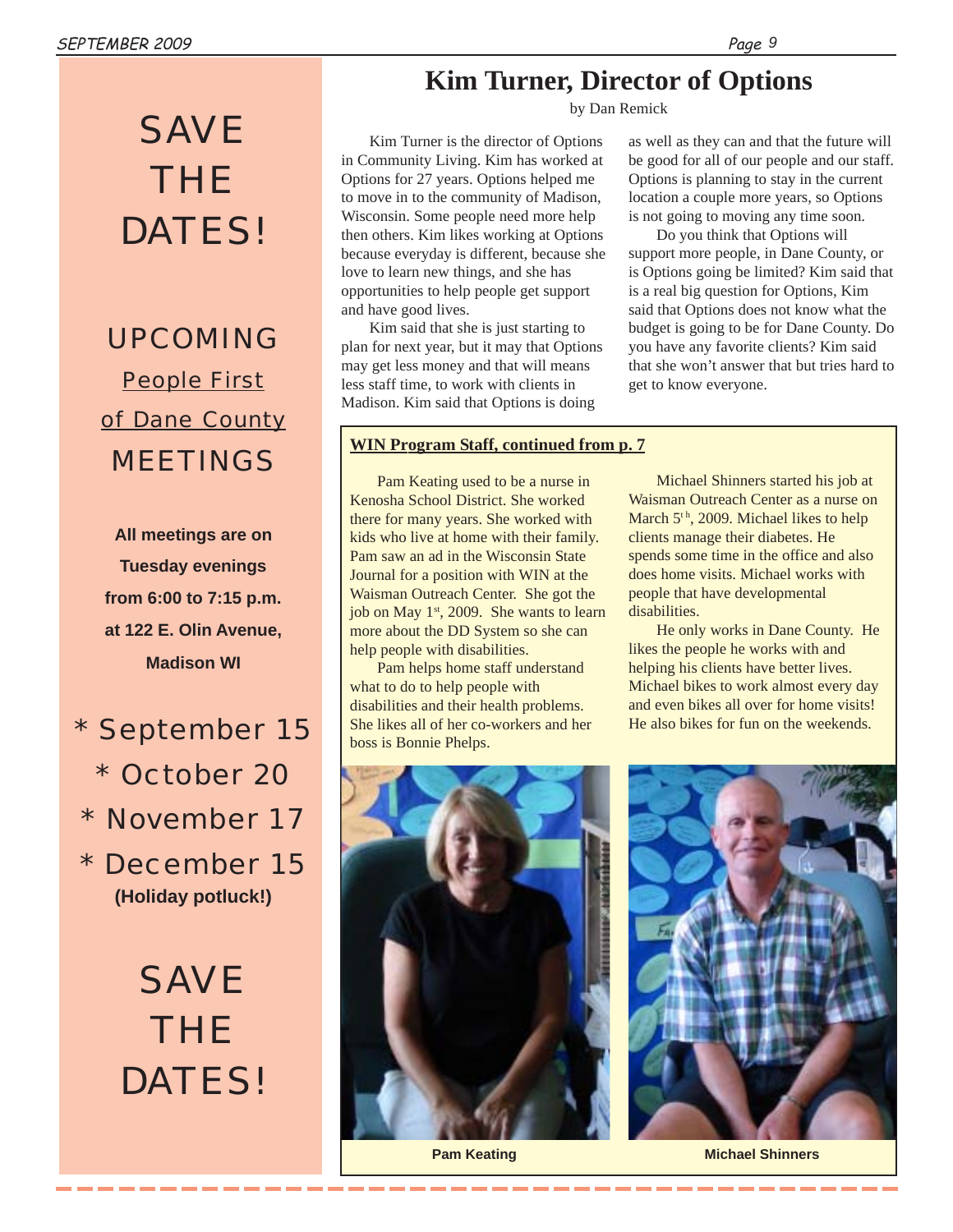# *SAVE THE DATES!*

*UPCOMING People First of Dane County MEETINGS*

**All meetings are on Tuesday evenings from 6:00 to 7:15 p.m. at 122 E. Olin Avenue, Madison WI**

*\* September 15 \* October 20 \* November 17 \* December 15* **(Holiday potluck!)**

> *SAVE THE DATES!*

### **Kim Turner, Director of Options**

by Dan Remick

Kim Turner is the director of Options in Community Living. Kim has worked at Options for 27 years. Options helped me to move in to the community of Madison, Wisconsin. Some people need more help then others. Kim likes working at Options because everyday is different, because she love to learn new things, and she has opportunities to help people get support and have good lives.

Kim said that she is just starting to plan for next year, but it may that Options may get less money and that will means less staff time, to work with clients in Madison. Kim said that Options is doing

#### **WIN Program Staff, continued from p. 7**

Pam Keating used to be a nurse in Kenosha School District. She worked there for many years. She worked with kids who live at home with their family. Pam saw an ad in the Wisconsin State Journal for a position with WIN at the Waisman Outreach Center. She got the job on May 1<sup>st</sup>, 2009. She wants to learn more about the DD System so she can help people with disabilities.

Pam helps home staff understand what to do to help people with disabilities and their health problems. She likes all of her co-workers and her boss is Bonnie Phelps.

as well as they can and that the future will be good for all of our people and our staff. Options is planning to stay in the current location a couple more years, so Options is not going to moving any time soon.

Do you think that Options will support more people, in Dane County, or is Options going be limited? Kim said that is a real big question for Options, Kim said that Options does not know what the budget is going to be for Dane County. Do you have any favorite clients? Kim said that she won't answer that but tries hard to get to know everyone.

Michael Shinners started his job at Waisman Outreach Center as a nurse on March 5<sup>th</sup>, 2009. Michael likes to help clients manage their diabetes. He spends some time in the office and also does home visits. Michael works with people that have developmental disabilities.

He only works in Dane County. He likes the people he works with and helping his clients have better lives. Michael bikes to work almost every day and even bikes all over for home visits! He also bikes for fun on the weekends.



**Pam Keating**



**Michael Shinners**